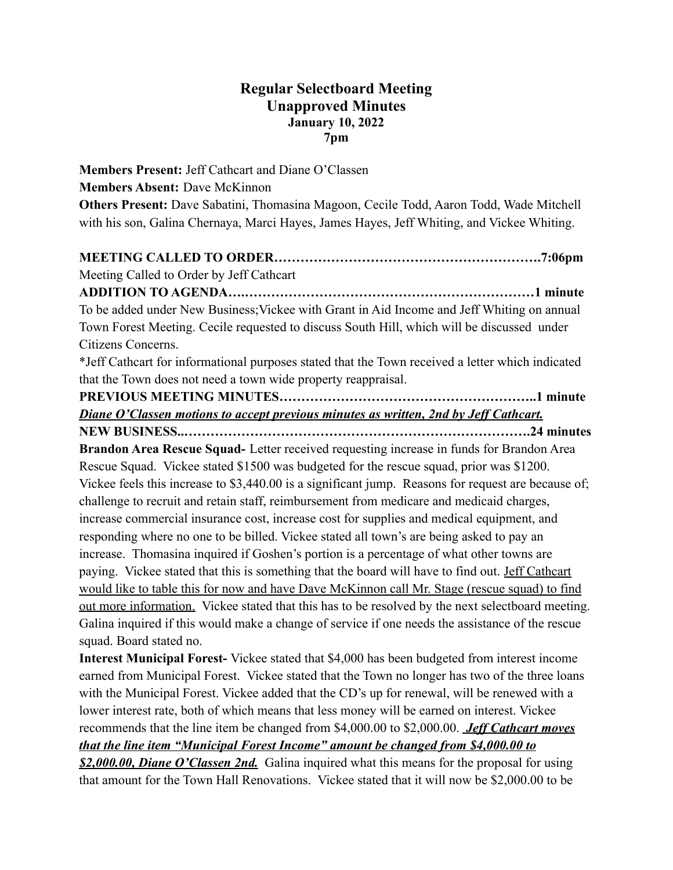## **Regular Selectboard Meeting Unapproved Minutes January 10, 2022 7pm**

**Members Present:** Jeff Cathcart and Diane O'Classen **Members Absent:** Dave McKinnon **Others Present:** Dave Sabatini, Thomasina Magoon, Cecile Todd, Aaron Todd, Wade Mitchell with his son, Galina Chernaya, Marci Hayes, James Hayes, Jeff Whiting, and Vickee Whiting.

**MEETING CALLED TO ORDER…………………………………………………….7:06pm**

Meeting Called to Order by Jeff Cathcart

**ADDITION TO AGENDA….…………………………………………………………1 minute** To be added under New Business;Vickee with Grant in Aid Income and Jeff Whiting on annual Town Forest Meeting. Cecile requested to discuss South Hill, which will be discussed under Citizens Concerns.

\*Jeff Cathcart for informational purposes stated that the Town received a letter which indicated that the Town does not need a town wide property reappraisal.

**PREVIOUS MEETING MINUTES…………………………………………………..1 minute** *Diane O'Classen motions to accept previous minutes as written, 2nd by Jeff Cathcart.*

**NEW BUSINESS..…………………………………………………………………….24 minutes Brandon Area Rescue Squad-** Letter received requesting increase in funds for Brandon Area Rescue Squad. Vickee stated \$1500 was budgeted for the rescue squad, prior was \$1200. Vickee feels this increase to \$3,440.00 is a significant jump. Reasons for request are because of; challenge to recruit and retain staff, reimbursement from medicare and medicaid charges, increase commercial insurance cost, increase cost for supplies and medical equipment, and responding where no one to be billed. Vickee stated all town's are being asked to pay an increase. Thomasina inquired if Goshen's portion is a percentage of what other towns are paying. Vickee stated that this is something that the board will have to find out. Jeff Cathcart would like to table this for now and have Dave McKinnon call Mr. Stage (rescue squad) to find out more information. Vickee stated that this has to be resolved by the next selectboard meeting. Galina inquired if this would make a change of service if one needs the assistance of the rescue squad. Board stated no.

**Interest Municipal Forest-** Vickee stated that \$4,000 has been budgeted from interest income earned from Municipal Forest. Vickee stated that the Town no longer has two of the three loans with the Municipal Forest. Vickee added that the CD's up for renewal, will be renewed with a lower interest rate, both of which means that less money will be earned on interest. Vickee recommends that the line item be changed from \$4,000.00 to \$2,000.00. *Jeff Cathcart moves that the line item "Municipal Forest Income" amount be changed from \$4,000.00 to*

*\$2,000.00, Diane O'Classen 2nd.* Galina inquired what this means for the proposal for using that amount for the Town Hall Renovations. Vickee stated that it will now be \$2,000.00 to be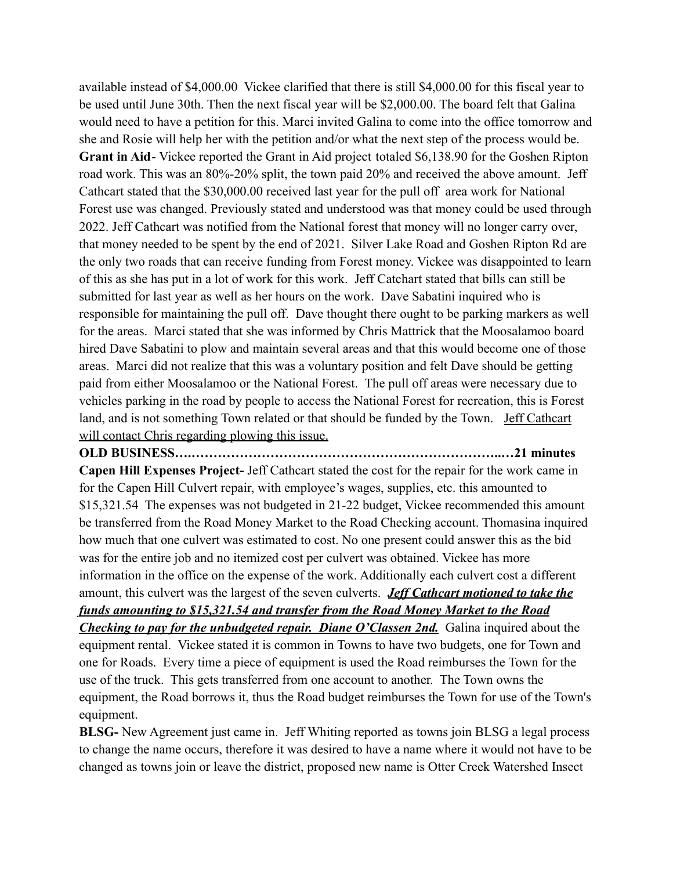available instead of \$4,000.00 Vickee clarified that there is still \$4,000.00 for this fiscal year to be used until June 30th. Then the next fiscal year will be \$2,000.00. The board felt that Galina would need to have a petition for this. Marci invited Galina to come into the office tomorrow and she and Rosie will help her with the petition and/or what the next step of the process would be. **Grant in Aid**- Vickee reported the Grant in Aid project totaled \$6,138.90 for the Goshen Ripton road work. This was an 80%-20% split, the town paid 20% and received the above amount. Jeff Cathcart stated that the \$30,000.00 received last year for the pull off area work for National Forest use was changed. Previously stated and understood was that money could be used through 2022. Jeff Cathcart was notified from the National forest that money will no longer carry over, that money needed to be spent by the end of 2021. Silver Lake Road and Goshen Ripton Rd are the only two roads that can receive funding from Forest money. Vickee was disappointed to learn of this as she has put in a lot of work for this work. Jeff Catchart stated that bills can still be submitted for last year as well as her hours on the work. Dave Sabatini inquired who is responsible for maintaining the pull off. Dave thought there ought to be parking markers as well for the areas. Marci stated that she was informed by Chris Mattrick that the Moosalamoo board hired Dave Sabatini to plow and maintain several areas and that this would become one of those areas. Marci did not realize that this was a voluntary position and felt Dave should be getting paid from either Moosalamoo or the National Forest. The pull off areas were necessary due to vehicles parking in the road by people to access the National Forest for recreation, this is Forest land, and is not something Town related or that should be funded by the Town. Jeff Cathcart will contact Chris regarding plowing this issue.

**OLD BUSINESS….……………………………………………………………..…21 minutes Capen Hill Expenses Project-** Jeff Cathcart stated the cost for the repair for the work came in for the Capen Hill Culvert repair, with employee's wages, supplies, etc. this amounted to \$15,321.54 The expenses was not budgeted in 21-22 budget, Vickee recommended this amount be transferred from the Road Money Market to the Road Checking account. Thomasina inquired how much that one culvert was estimated to cost. No one present could answer this as the bid was for the entire job and no itemized cost per culvert was obtained. Vickee has more information in the office on the expense of the work. Additionally each culvert cost a different amount, this culvert was the largest of the seven culverts. *Jeff Cathcart motioned to take the funds amounting to \$15,321.54 and transfer from the Road Money Market to the Road Checking to pay for the unbudgeted repair. Diane O'Classen 2nd.* Galina inquired about the equipment rental. Vickee stated it is common in Towns to have two budgets, one for Town and one for Roads. Every time a piece of equipment is used the Road reimburses the Town for the use of the truck. This gets transferred from one account to another. The Town owns the equipment, the Road borrows it, thus the Road budget reimburses the Town for use of the Town's equipment.

**BLSG-** New Agreement just came in. Jeff Whiting reported as towns join BLSG a legal process to change the name occurs, therefore it was desired to have a name where it would not have to be changed as towns join or leave the district, proposed new name is Otter Creek Watershed Insect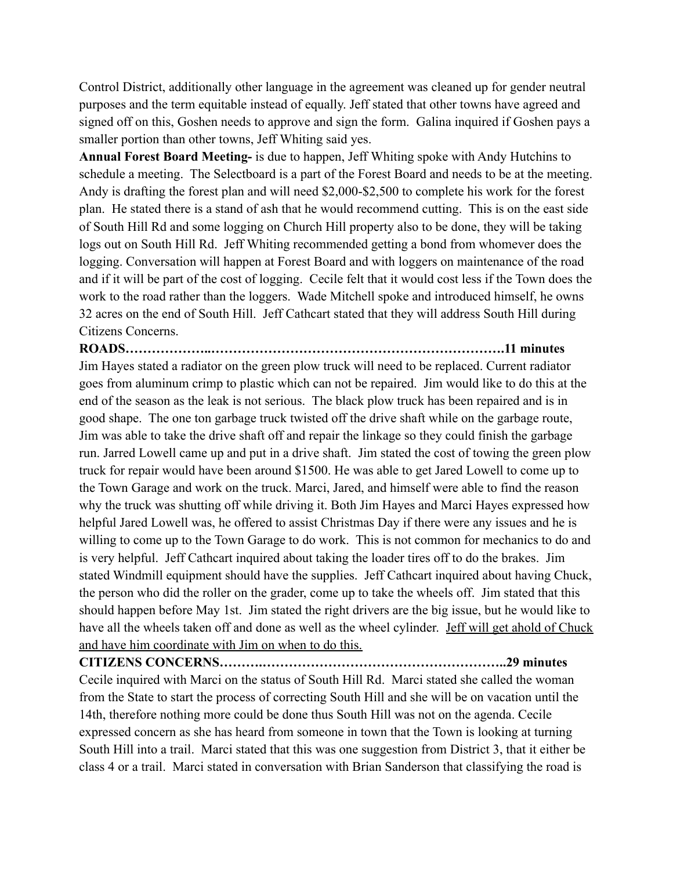Control District, additionally other language in the agreement was cleaned up for gender neutral purposes and the term equitable instead of equally. Jeff stated that other towns have agreed and signed off on this, Goshen needs to approve and sign the form. Galina inquired if Goshen pays a smaller portion than other towns, Jeff Whiting said yes.

**Annual Forest Board Meeting-** is due to happen, Jeff Whiting spoke with Andy Hutchins to schedule a meeting. The Selectboard is a part of the Forest Board and needs to be at the meeting. Andy is drafting the forest plan and will need \$2,000-\$2,500 to complete his work for the forest plan. He stated there is a stand of ash that he would recommend cutting. This is on the east side of South Hill Rd and some logging on Church Hill property also to be done, they will be taking logs out on South Hill Rd. Jeff Whiting recommended getting a bond from whomever does the logging. Conversation will happen at Forest Board and with loggers on maintenance of the road and if it will be part of the cost of logging. Cecile felt that it would cost less if the Town does the work to the road rather than the loggers. Wade Mitchell spoke and introduced himself, he owns 32 acres on the end of South Hill. Jeff Cathcart stated that they will address South Hill during Citizens Concerns.

## **ROADS………………..………………………………………………………….11 minutes**

Jim Hayes stated a radiator on the green plow truck will need to be replaced. Current radiator goes from aluminum crimp to plastic which can not be repaired. Jim would like to do this at the end of the season as the leak is not serious. The black plow truck has been repaired and is in good shape. The one ton garbage truck twisted off the drive shaft while on the garbage route, Jim was able to take the drive shaft off and repair the linkage so they could finish the garbage run. Jarred Lowell came up and put in a drive shaft. Jim stated the cost of towing the green plow truck for repair would have been around \$1500. He was able to get Jared Lowell to come up to the Town Garage and work on the truck. Marci, Jared, and himself were able to find the reason why the truck was shutting off while driving it. Both Jim Hayes and Marci Hayes expressed how helpful Jared Lowell was, he offered to assist Christmas Day if there were any issues and he is willing to come up to the Town Garage to do work. This is not common for mechanics to do and is very helpful. Jeff Cathcart inquired about taking the loader tires off to do the brakes. Jim stated Windmill equipment should have the supplies. Jeff Cathcart inquired about having Chuck, the person who did the roller on the grader, come up to take the wheels off. Jim stated that this should happen before May 1st. Jim stated the right drivers are the big issue, but he would like to have all the wheels taken off and done as well as the wheel cylinder. Jeff will get ahold of Chuck and have him coordinate with Jim on when to do this.

## **CITIZENS CONCERNS……….………………………………………………..29 minutes**

Cecile inquired with Marci on the status of South Hill Rd. Marci stated she called the woman from the State to start the process of correcting South Hill and she will be on vacation until the 14th, therefore nothing more could be done thus South Hill was not on the agenda. Cecile expressed concern as she has heard from someone in town that the Town is looking at turning South Hill into a trail. Marci stated that this was one suggestion from District 3, that it either be class 4 or a trail. Marci stated in conversation with Brian Sanderson that classifying the road is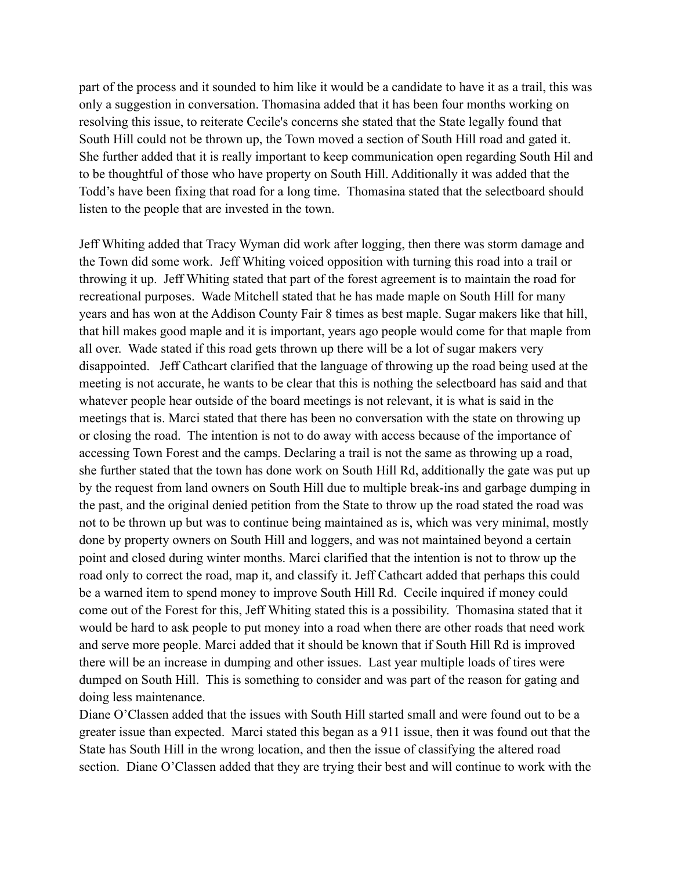part of the process and it sounded to him like it would be a candidate to have it as a trail, this was only a suggestion in conversation. Thomasina added that it has been four months working on resolving this issue, to reiterate Cecile's concerns she stated that the State legally found that South Hill could not be thrown up, the Town moved a section of South Hill road and gated it. She further added that it is really important to keep communication open regarding South Hil and to be thoughtful of those who have property on South Hill. Additionally it was added that the Todd's have been fixing that road for a long time. Thomasina stated that the selectboard should listen to the people that are invested in the town.

Jeff Whiting added that Tracy Wyman did work after logging, then there was storm damage and the Town did some work. Jeff Whiting voiced opposition with turning this road into a trail or throwing it up. Jeff Whiting stated that part of the forest agreement is to maintain the road for recreational purposes. Wade Mitchell stated that he has made maple on South Hill for many years and has won at the Addison County Fair 8 times as best maple. Sugar makers like that hill, that hill makes good maple and it is important, years ago people would come for that maple from all over. Wade stated if this road gets thrown up there will be a lot of sugar makers very disappointed. Jeff Cathcart clarified that the language of throwing up the road being used at the meeting is not accurate, he wants to be clear that this is nothing the selectboard has said and that whatever people hear outside of the board meetings is not relevant, it is what is said in the meetings that is. Marci stated that there has been no conversation with the state on throwing up or closing the road. The intention is not to do away with access because of the importance of accessing Town Forest and the camps. Declaring a trail is not the same as throwing up a road, she further stated that the town has done work on South Hill Rd, additionally the gate was put up by the request from land owners on South Hill due to multiple break-ins and garbage dumping in the past, and the original denied petition from the State to throw up the road stated the road was not to be thrown up but was to continue being maintained as is, which was very minimal, mostly done by property owners on South Hill and loggers, and was not maintained beyond a certain point and closed during winter months. Marci clarified that the intention is not to throw up the road only to correct the road, map it, and classify it. Jeff Cathcart added that perhaps this could be a warned item to spend money to improve South Hill Rd. Cecile inquired if money could come out of the Forest for this, Jeff Whiting stated this is a possibility. Thomasina stated that it would be hard to ask people to put money into a road when there are other roads that need work and serve more people. Marci added that it should be known that if South Hill Rd is improved there will be an increase in dumping and other issues. Last year multiple loads of tires were dumped on South Hill. This is something to consider and was part of the reason for gating and doing less maintenance.

Diane O'Classen added that the issues with South Hill started small and were found out to be a greater issue than expected. Marci stated this began as a 911 issue, then it was found out that the State has South Hill in the wrong location, and then the issue of classifying the altered road section. Diane O'Classen added that they are trying their best and will continue to work with the